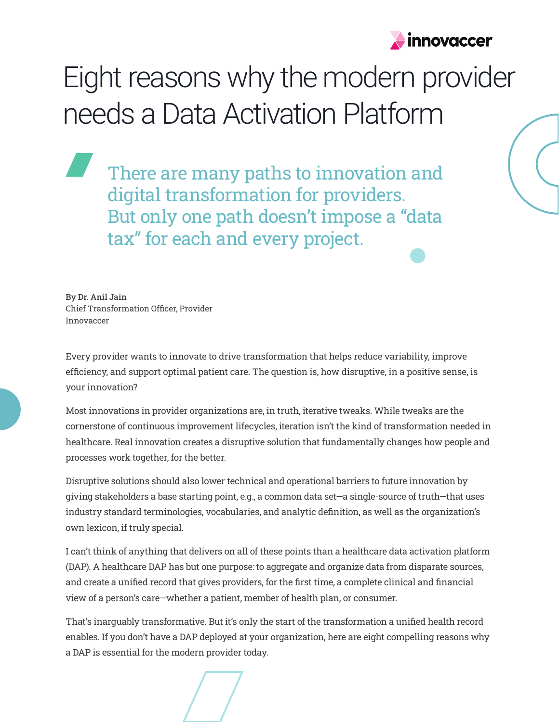

# Eight reasons why the modern provider needs a Data Activation Platform

There are many paths to innovation and digital transformation for providers. But only one path doesn't impose a "data tax" for each and every project.

By Dr. Anil Jain Chief Transformation Officer, Provider Innovaccer

Every provider wants to innovate to drive transformation that helps reduce variability, improve efficiency, and support optimal patient care. The question is, how disruptive, in a positive sense, is your innovation?

Most innovations in provider organizations are, in truth, iterative tweaks. While tweaks are the cornerstone of continuous improvement lifecycles, iteration isn't the kind of transformation needed in healthcare. Real innovation creates a disruptive solution that fundamentally changes how people and processes work together, for the better.

Disruptive solutions should also lower technical and operational barriers to future innovation by giving stakeholders a base starting point, e.g., a common data set—a single-source of truth—that uses industry standard terminologies, vocabularies, and analytic definition, as well as the organization's own lexicon, if truly special.

I can't think of anything that delivers on all of these points than a healthcare data activation platform (DAP). A healthcare DAP has but one purpose: to aggregate and organize data from disparate sources, and create a unified record that gives providers, for the first time, a complete clinical and financial view of a person's care—whether a patient, member of health plan, or consumer.

That's inarguably transformative. But it's only the start of the transformation a unified health record enables. If you don't have a DAP deployed at your organization, here are eight compelling reasons why a DAP is essential for the modern provider today.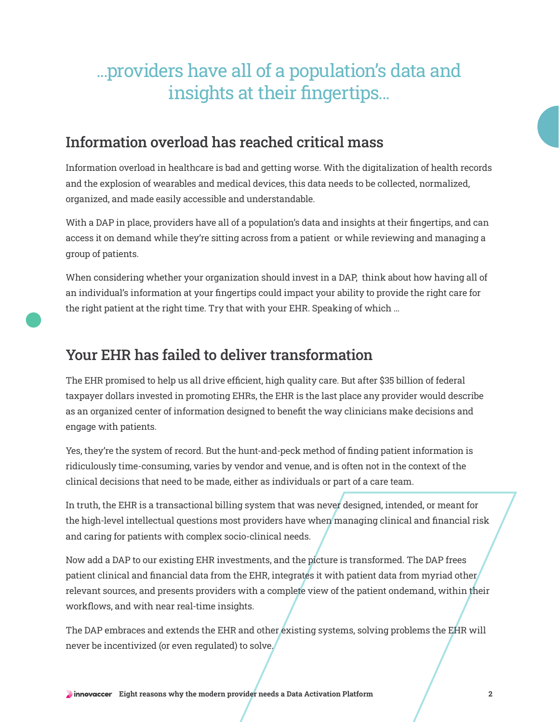# ...providers have all of a population's data and insights at their fingertips...

### Information overload has reached critical mass

Information overload in healthcare is bad and getting worse. With the digitalization of health records and the explosion of wearables and medical devices, this data needs to be collected, normalized, organized, and made easily accessible and understandable.

With a DAP in place, providers have all of a population's data and insights at their fingertips, and can access it on demand while they're sitting across from a patient or while reviewing and managing a group of patients.

When considering whether your organization should invest in a DAP, think about how having all of an individual's information at your fingertips could impact your ability to provide the right care for the right patient at the right time. Try that with your EHR. Speaking of which ...

#### Your EHR has failed to deliver transformation

The EHR promised to help us all drive efficient, high quality care. But after \$35 billion of federal taxpayer dollars invested in promoting EHRs, the EHR is the last place any provider would describe as an organized center of information designed to benefit the way clinicians make decisions and engage with patients.

Yes, they're the system of record. But the hunt-and-peck method of finding patient information is ridiculously time-consuming, varies by vendor and venue, and is often not in the context of the clinical decisions that need to be made, either as individuals or part of a care team.

In truth, the EHR is a transactional billing system that was never designed, intended, or meant for the high-level intellectual questions most providers have when managing clinical and financial risk and caring for patients with complex socio-clinical needs.

Now add a DAP to our existing EHR investments, and the picture is transformed. The DAP frees patient clinical and financial data from the EHR, integrates it with patient data from myriad other relevant sources, and presents providers with a complete view of the patient ondemand, within their workflows, and with near real-time insights.

The DAP embraces and extends the EHR and other existing systems, solving problems the EHR will never be incentivized (or even regulated) to solve.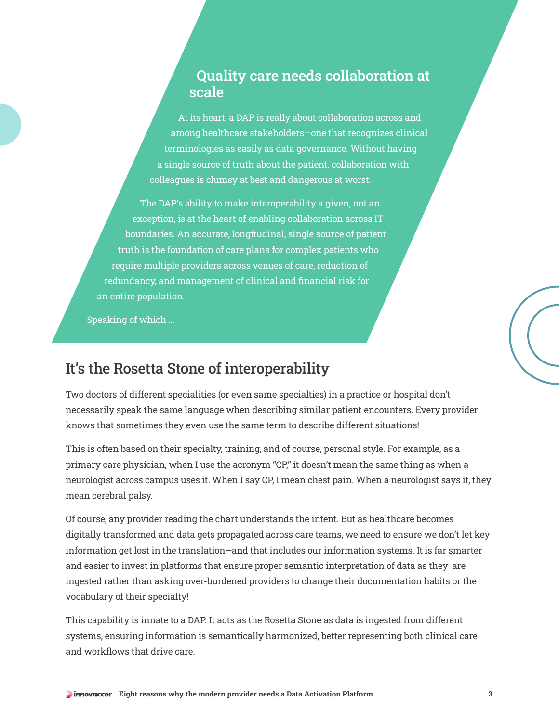#### Quality care needs collaboration at scale

At its heart, a DAP is really about collaboration across and among healthcare stakeholders—one that recognizes clinical terminologies as easily as data governance. Without having a single source of truth about the patient, collaboration with colleagues is clumsy at best and dangerous at worst.

The DAP's ability to make interoperability a given, not an exception, is at the heart of enabling collaboration across IT boundaries. An accurate, longitudinal, single source of patient truth is the foundation of care plans for complex patients who require multiple providers across venues of care, reduction of redundancy, and management of clinical and financial risk for an entire population.

Speaking of which ...

### It's the Rosetta Stone of interoperability

Two doctors of different specialities (or even same specialties) in a practice or hospital don't necessarily speak the same language when describing similar patient encounters. Every provider knows that sometimes they even use the same term to describe different situations!

This is often based on their specialty, training, and of course, personal style. For example, as a primary care physician, when I use the acronym "CP," it doesn't mean the same thing as when a neurologist across campus uses it. When I say CP, I mean chest pain. When a neurologist says it, they mean cerebral palsy.

Of course, any provider reading the chart understands the intent. But as healthcare becomes digitally transformed and data gets propagated across care teams, we need to ensure we don't let key information get lost in the translation—and that includes our information systems. It is far smarter and easier to invest in platforms that ensure proper semantic interpretation of data as they are ingested rather than asking over-burdened providers to change their documentation habits or the vocabulary of their specialty!

This capability is innate to a DAP. It acts as the Rosetta Stone as data is ingested from different systems, ensuring information is semantically harmonized, better representing both clinical care and workflows that drive care.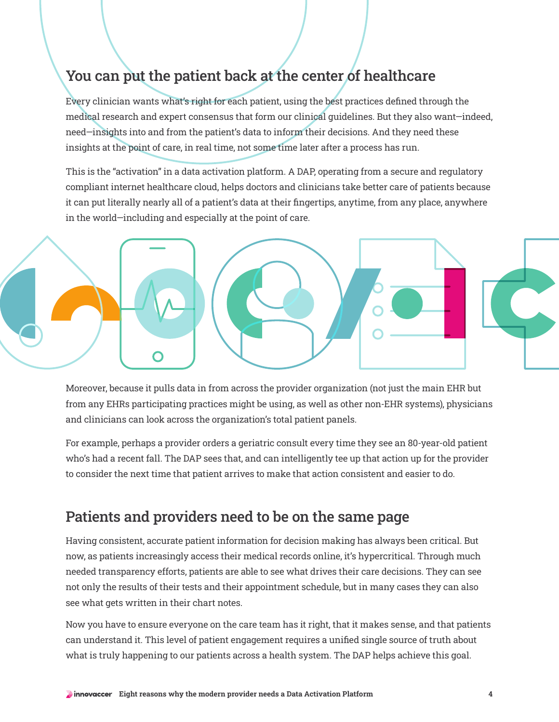## You can put the patient back at the center of healthcare

Every clinician wants what's right for each patient, using the best practices defined through the medical research and expert consensus that form our clinical guidelines. But they also want—indeed, need—insights into and from the patient's data to inform their decisions. And they need these insights at the point of care, in real time, not some time later after a process has run.

This is the "activation" in a data activation platform. A DAP, operating from a secure and regulatory compliant internet healthcare cloud, helps doctors and clinicians take better care of patients because it can put literally nearly all of a patient's data at their fingertips, anytime, from any place, anywhere in the world—including and especially at the point of care.



Moreover, because it pulls data in from across the provider organization (not just the main EHR but from any EHRs participating practices might be using, as well as other non-EHR systems), physicians and clinicians can look across the organization's total patient panels.

For example, perhaps a provider orders a geriatric consult every time they see an 80-year-old patient who's had a recent fall. The DAP sees that, and can intelligently tee up that action up for the provider to consider the next time that patient arrives to make that action consistent and easier to do.

#### Patients and providers need to be on the same page

Having consistent, accurate patient information for decision making has always been critical. But now, as patients increasingly access their medical records online, it's hypercritical. Through much needed transparency efforts, patients are able to see what drives their care decisions. They can see not only the results of their tests and their appointment schedule, but in many cases they can also see what gets written in their chart notes.

Now you have to ensure everyone on the care team has it right, that it makes sense, and that patients can understand it. This level of patient engagement requires a unified single source of truth about what is truly happening to our patients across a health system. The DAP helps achieve this goal.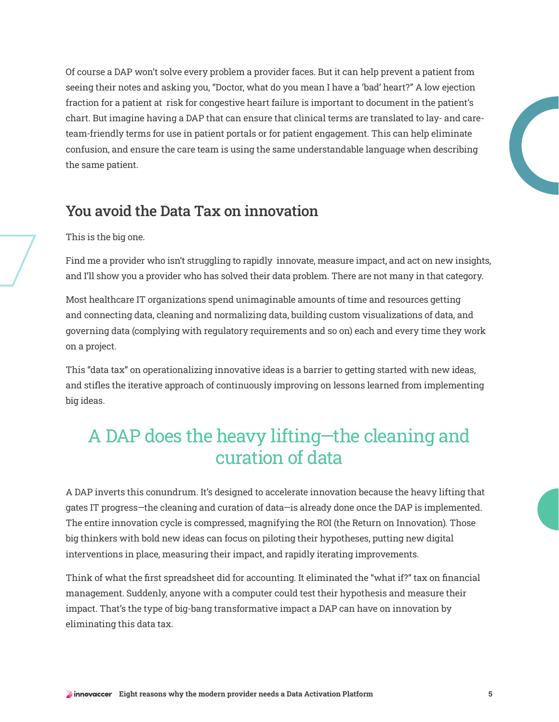Of course a DAP won't solve every problem a provider faces. But it can help prevent a patient from seeing their notes and asking you, "Doctor, what do you mean I have a 'bad' heart?" A low ejection fraction for a patient at risk for congestive heart failure is important to document in the patient's chart. But imagine having a DAP that can ensure that clinical terms are translated to lay- and careteam-friendly terms for use in patient portals or for patient engagement. This can help eliminate confusion, and ensure the care team is using the same understandable language when describing the same patient.

#### You avoid the Data Tax on innovation

#### This is the big one.

Find me a provider who isn't struggling to rapidly innovate, measure impact, and act on new insights, and I'll show you a provider who has solved their data problem. There are not many in that category.

Most healthcare IT organizations spend unimaginable amounts of time and resources getting and connecting data, cleaning and normalizing data, building custom visualizations of data, and governing data (complying with regulatory requirements and so on) each and every time they work on a project.

This "data tax" on operationalizing innovative ideas is a barrier to getting started with new ideas, and stifles the iterative approach of continuously improving on lessons learned from implementing big ideas.

# A DAP does the heavy lifting—the cleaning and curation of data

A DAP inverts this conundrum. It's designed to accelerate innovation because the heavy lifting that gates IT progress—the cleaning and curation of data—is already done once the DAP is implemented. The entire innovation cycle is compressed, magnifying the ROI (the Return on Innovation). Those big thinkers with bold new ideas can focus on piloting their hypotheses, putting new digital interventions in place, measuring their impact, and rapidly iterating improvements.

Think of what the first spreadsheet did for accounting. It eliminated the "what if?" tax on financial management. Suddenly, anyone with a computer could test their hypothesis and measure their impact. That's the type of big-bang transformative impact a DAP can have on innovation by eliminating this data tax.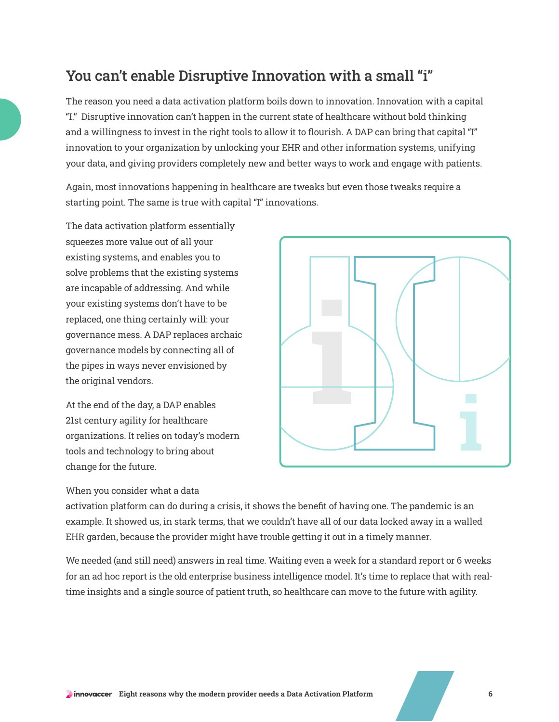## You can't enable Disruptive Innovation with a small "i"

The reason you need a data activation platform boils down to innovation. Innovation with a capital "I." Disruptive innovation can't happen in the current state of healthcare without bold thinking and a willingness to invest in the right tools to allow it to flourish. A DAP can bring that capital "I" innovation to your organization by unlocking your EHR and other information systems, unifying your data, and giving providers completely new and better ways to work and engage with patients.

Again, most innovations happening in healthcare are tweaks but even those tweaks require a starting point. The same is true with capital "I" innovations.

The data activation platform essentially squeezes more value out of all your existing systems, and enables you to solve problems that the existing systems are incapable of addressing. And while your existing systems don't have to be replaced, one thing certainly will: your governance mess. A DAP replaces archaic governance models by connecting all of the pipes in ways never envisioned by the original vendors.

At the end of the day, a DAP enables 21st century agility for healthcare organizations. It relies on today's modern tools and technology to bring about change for the future.

#### When you consider what a data



activation platform can do during a crisis, it shows the benefit of having one. The pandemic is an example. It showed us, in stark terms, that we couldn't have all of our data locked away in a walled EHR garden, because the provider might have trouble getting it out in a timely manner.

We needed (and still need) answers in real time. Waiting even a week for a standard report or 6 weeks for an ad hoc report is the old enterprise business intelligence model. It's time to replace that with realtime insights and a single source of patient truth, so healthcare can move to the future with agility.